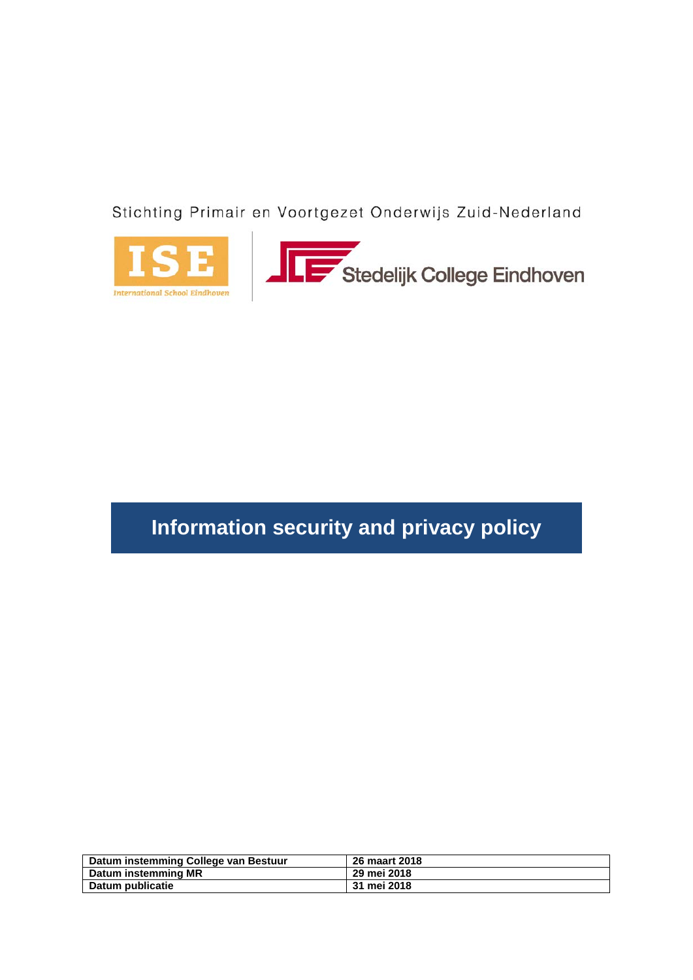Stichting Primair en Voortgezet Onderwijs Zuid-Nederland





# **Information security and privacy policy**

| Datum instemming College van Bestuur | 26 maart 2018 |
|--------------------------------------|---------------|
| Datum instemming MR                  | 29 mei 2018   |
| Datum publicatie                     | 31 mei 2018   |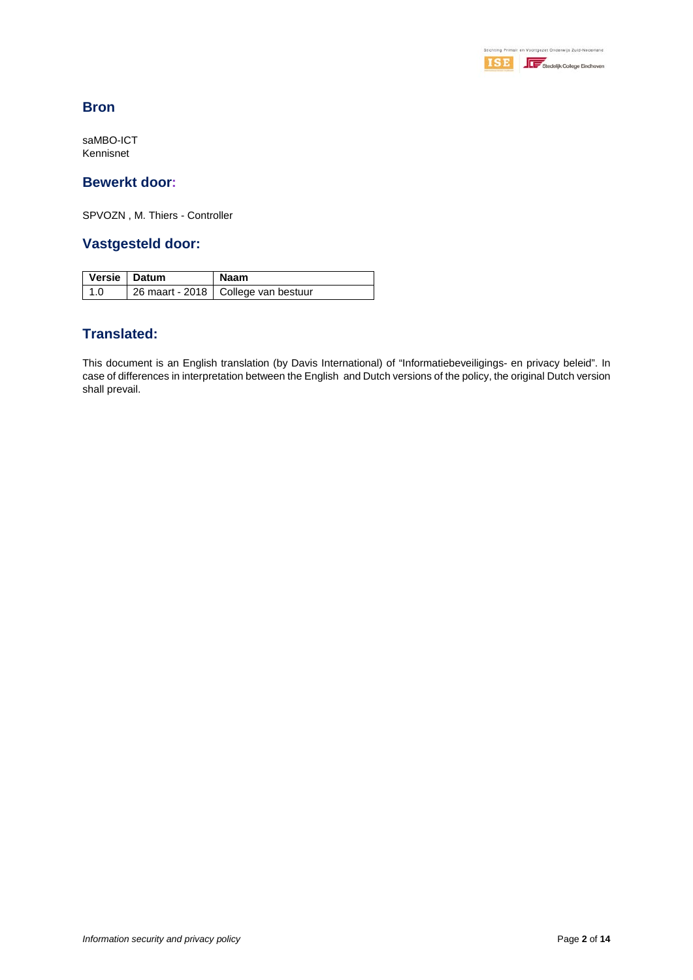

# **Bron**

saMBO-ICT Kennisnet

# **Bewerkt door:**

SPVOZN , M. Thiers - Controller

# **Vastgesteld door:**

| Versie   Datum | Naam                                  |
|----------------|---------------------------------------|
| $\vert$ 1.0    | 26 maart - 2018   College van bestuur |

# **Translated:**

This document is an English translation (by Davis International) of "Informatiebeveiligings- en privacy beleid". In case of differences in interpretation between the English and Dutch versions of the policy, the original Dutch version shall prevail.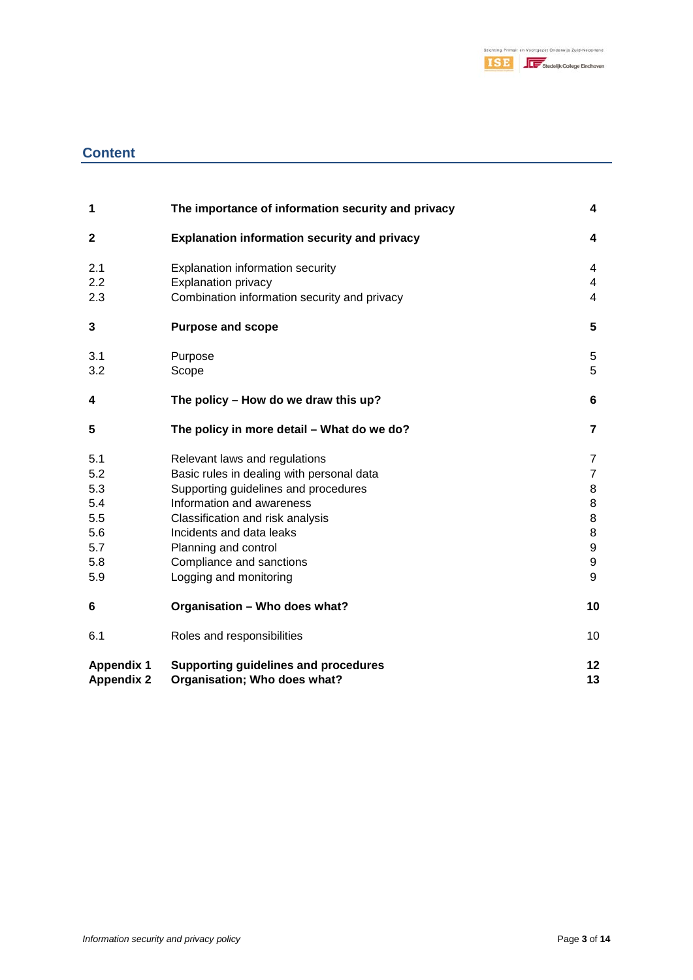

# **Content**

| 1                 | The importance of information security and privacy  | 4                |
|-------------------|-----------------------------------------------------|------------------|
| $\mathbf{2}$      | <b>Explanation information security and privacy</b> | 4                |
| 2.1               | <b>Explanation information security</b>             | 4                |
| 2.2               | <b>Explanation privacy</b>                          | 4                |
| 2.3               | Combination information security and privacy        | $\overline{4}$   |
| 3                 | <b>Purpose and scope</b>                            | 5                |
| 3.1               | Purpose                                             | 5                |
| 3.2               | Scope                                               | 5                |
| 4                 | The policy – How do we draw this up?                | 6                |
| 5                 | The policy in more detail - What do we do?          | $\overline{7}$   |
| 5.1               | Relevant laws and regulations                       | 7                |
| 5.2               | Basic rules in dealing with personal data           | $\overline{7}$   |
| 5.3               | Supporting guidelines and procedures                | 8                |
| 5.4               | Information and awareness                           | 8                |
| 5.5               | Classification and risk analysis                    | 8                |
| 5.6               | Incidents and data leaks                            | 8                |
| 5.7               | Planning and control                                | $\boldsymbol{9}$ |
| 5.8               | Compliance and sanctions                            | $\boldsymbol{9}$ |
| 5.9               | Logging and monitoring                              | 9                |
| 6                 | Organisation - Who does what?                       | 10               |
| 6.1               | Roles and responsibilities                          | 10               |
| <b>Appendix 1</b> | Supporting guidelines and procedures                | 12               |
| <b>Appendix 2</b> | Organisation; Who does what?                        | 13               |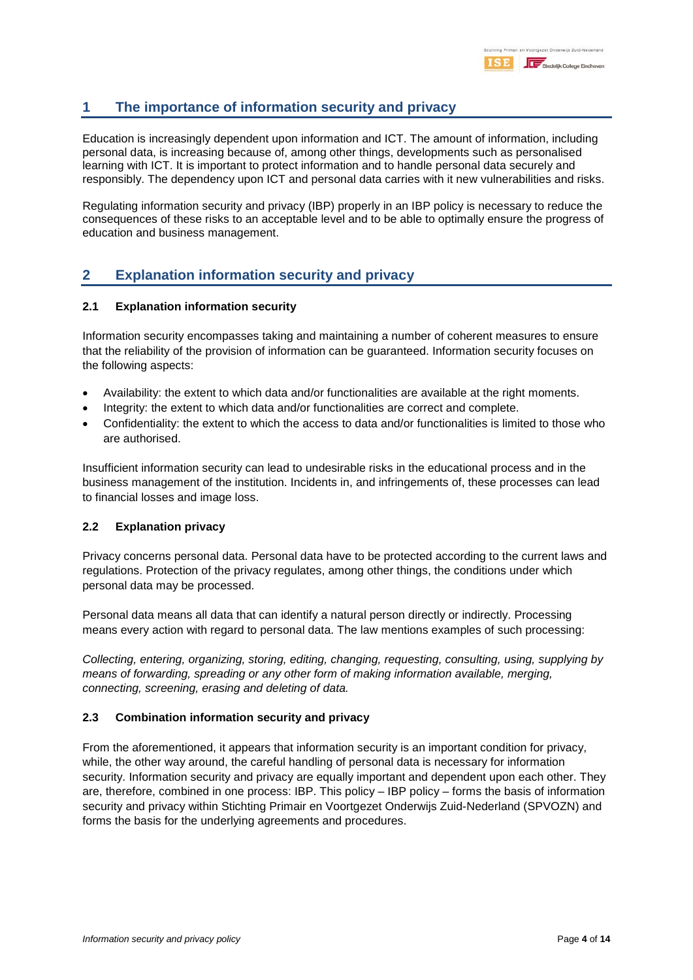# **1 The importance of information security and privacy**

Education is increasingly dependent upon information and ICT. The amount of information, including personal data, is increasing because of, among other things, developments such as personalised learning with ICT. It is important to protect information and to handle personal data securely and responsibly. The dependency upon ICT and personal data carries with it new vulnerabilities and risks.

Regulating information security and privacy (IBP) properly in an IBP policy is necessary to reduce the consequences of these risks to an acceptable level and to be able to optimally ensure the progress of education and business management.

# **2 Explanation information security and privacy**

### **2.1 Explanation information security**

Information security encompasses taking and maintaining a number of coherent measures to ensure that the reliability of the provision of information can be guaranteed. Information security focuses on the following aspects:

- Availability: the extent to which data and/or functionalities are available at the right moments.
- Integrity: the extent to which data and/or functionalities are correct and complete.
- Confidentiality: the extent to which the access to data and/or functionalities is limited to those who are authorised.

Insufficient information security can lead to undesirable risks in the educational process and in the business management of the institution. Incidents in, and infringements of, these processes can lead to financial losses and image loss.

### **2.2 Explanation privacy**

Privacy concerns personal data. Personal data have to be protected according to the current laws and regulations. Protection of the privacy regulates, among other things, the conditions under which personal data may be processed.

Personal data means all data that can identify a natural person directly or indirectly. Processing means every action with regard to personal data. The law mentions examples of such processing:

*Collecting, entering, organizing, storing, editing, changing, requesting, consulting, using, supplying by means of forwarding, spreading or any other form of making information available, merging, connecting, screening, erasing and deleting of data.*

### **2.3 Combination information security and privacy**

From the aforementioned, it appears that information security is an important condition for privacy, while, the other way around, the careful handling of personal data is necessary for information security. Information security and privacy are equally important and dependent upon each other. They are, therefore, combined in one process: IBP. This policy – IBP policy – forms the basis of information security and privacy within Stichting Primair en Voortgezet Onderwijs Zuid-Nederland (SPVOZN) and forms the basis for the underlying agreements and procedures.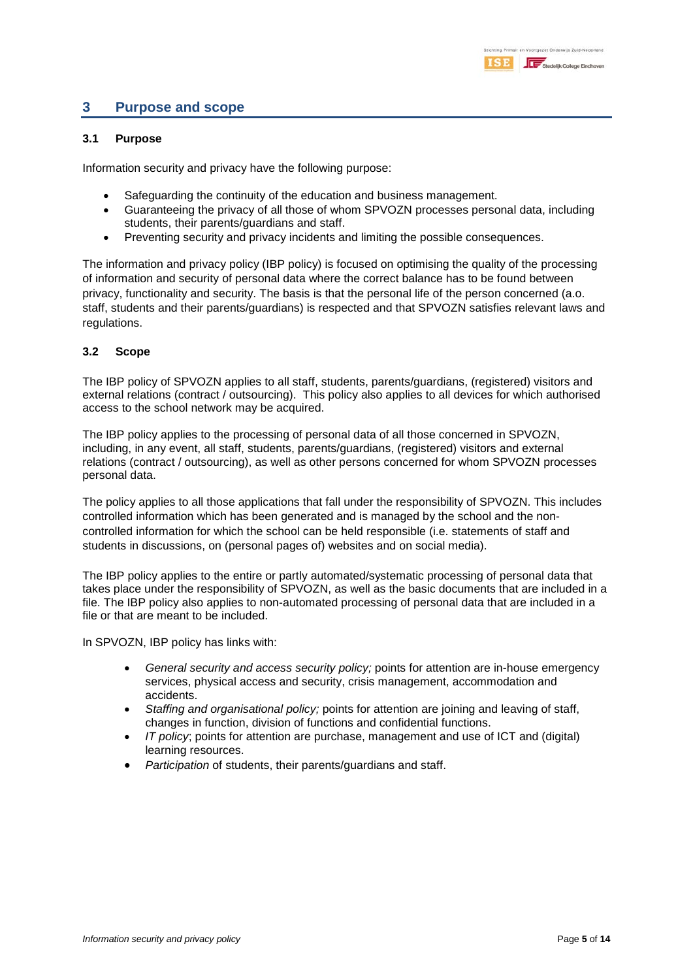# **3 Purpose and scope**

#### **3.1 Purpose**

Information security and privacy have the following purpose:

- Safeguarding the continuity of the education and business management.
- Guaranteeing the privacy of all those of whom SPVOZN processes personal data, including students, their parents/guardians and staff.
- Preventing security and privacy incidents and limiting the possible consequences.

The information and privacy policy (IBP policy) is focused on optimising the quality of the processing of information and security of personal data where the correct balance has to be found between privacy, functionality and security. The basis is that the personal life of the person concerned (a.o. staff, students and their parents/guardians) is respected and that SPVOZN satisfies relevant laws and regulations.

#### **3.2 Scope**

The IBP policy of SPVOZN applies to all staff, students, parents/guardians, (registered) visitors and external relations (contract / outsourcing). This policy also applies to all devices for which authorised access to the school network may be acquired.

The IBP policy applies to the processing of personal data of all those concerned in SPVOZN, including, in any event, all staff, students, parents/guardians, (registered) visitors and external relations (contract / outsourcing), as well as other persons concerned for whom SPVOZN processes personal data.

The policy applies to all those applications that fall under the responsibility of SPVOZN. This includes controlled information which has been generated and is managed by the school and the noncontrolled information for which the school can be held responsible (i.e. statements of staff and students in discussions, on (personal pages of) websites and on social media).

The IBP policy applies to the entire or partly automated/systematic processing of personal data that takes place under the responsibility of SPVOZN, as well as the basic documents that are included in a file. The IBP policy also applies to non-automated processing of personal data that are included in a file or that are meant to be included.

In SPVOZN, IBP policy has links with:

- *General security and access security policy;* points for attention are in-house emergency services, physical access and security, crisis management, accommodation and accidents.
- *Staffing and organisational policy;* points for attention are joining and leaving of staff, changes in function, division of functions and confidential functions.
- *IT policy*; points for attention are purchase, management and use of ICT and (digital) learning resources.
- *Participation* of students, their parents/guardians and staff.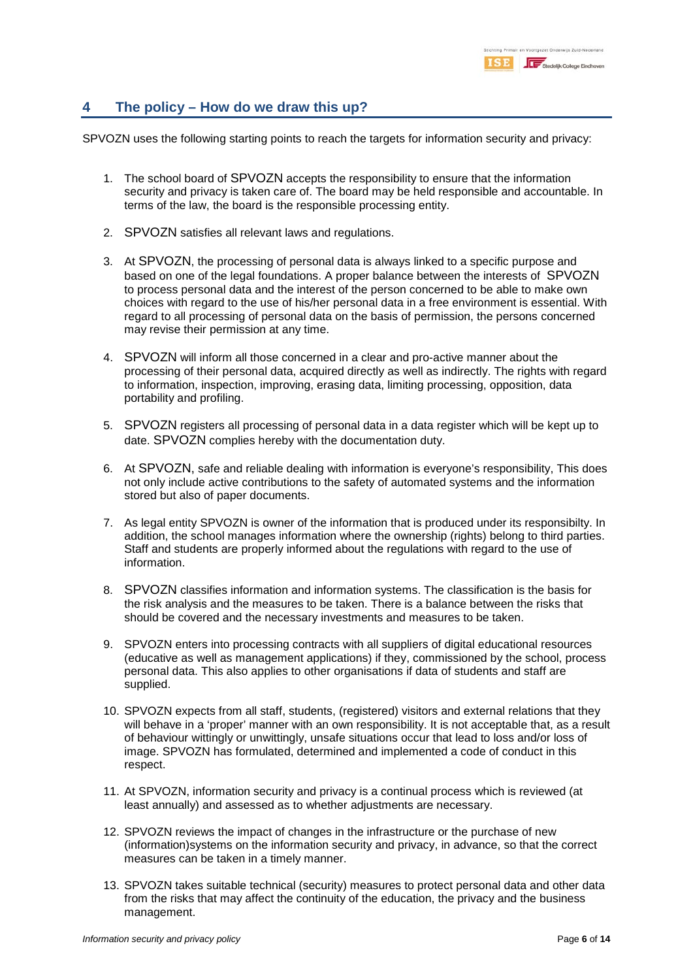# **4 The policy – How do we draw this up?**

SPVOZN uses the following starting points to reach the targets for information security and privacy:

- 1. The school board of SPVOZN accepts the responsibility to ensure that the information security and privacy is taken care of. The board may be held responsible and accountable. In terms of the law, the board is the responsible processing entity.
- 2. SPVOZN satisfies all relevant laws and regulations.
- 3. At SPVOZN, the processing of personal data is always linked to a specific purpose and based on one of the legal foundations. A proper balance between the interests of SPVOZN to process personal data and the interest of the person concerned to be able to make own choices with regard to the use of his/her personal data in a free environment is essential. With regard to all processing of personal data on the basis of permission, the persons concerned may revise their permission at any time.
- 4. SPVOZN will inform all those concerned in a clear and pro-active manner about the processing of their personal data, acquired directly as well as indirectly. The rights with regard to information, inspection, improving, erasing data, limiting processing, opposition, data portability and profiling.
- 5. SPVOZN registers all processing of personal data in a data register which will be kept up to date. SPVOZN complies hereby with the documentation duty.
- 6. At SPVOZN, safe and reliable dealing with information is everyone's responsibility, This does not only include active contributions to the safety of automated systems and the information stored but also of paper documents.
- 7. As legal entity SPVOZN is owner of the information that is produced under its responsibilty. In addition, the school manages information where the ownership (rights) belong to third parties. Staff and students are properly informed about the regulations with regard to the use of information.
- 8. SPVOZN classifies information and information systems. The classification is the basis for the risk analysis and the measures to be taken. There is a balance between the risks that should be covered and the necessary investments and measures to be taken.
- 9. SPVOZN enters into processing contracts with all suppliers of digital educational resources (educative as well as management applications) if they, commissioned by the school, process personal data. This also applies to other organisations if data of students and staff are supplied.
- 10. SPVOZN expects from all staff, students, (registered) visitors and external relations that they will behave in a 'proper' manner with an own responsibility. It is not acceptable that, as a result of behaviour wittingly or unwittingly, unsafe situations occur that lead to loss and/or loss of image. SPVOZN has formulated, determined and implemented a code of conduct in this respect.
- 11. At SPVOZN, information security and privacy is a continual process which is reviewed (at least annually) and assessed as to whether adjustments are necessary.
- 12. SPVOZN reviews the impact of changes in the infrastructure or the purchase of new (information)systems on the information security and privacy, in advance, so that the correct measures can be taken in a timely manner.
- 13. SPVOZN takes suitable technical (security) measures to protect personal data and other data from the risks that may affect the continuity of the education, the privacy and the business management.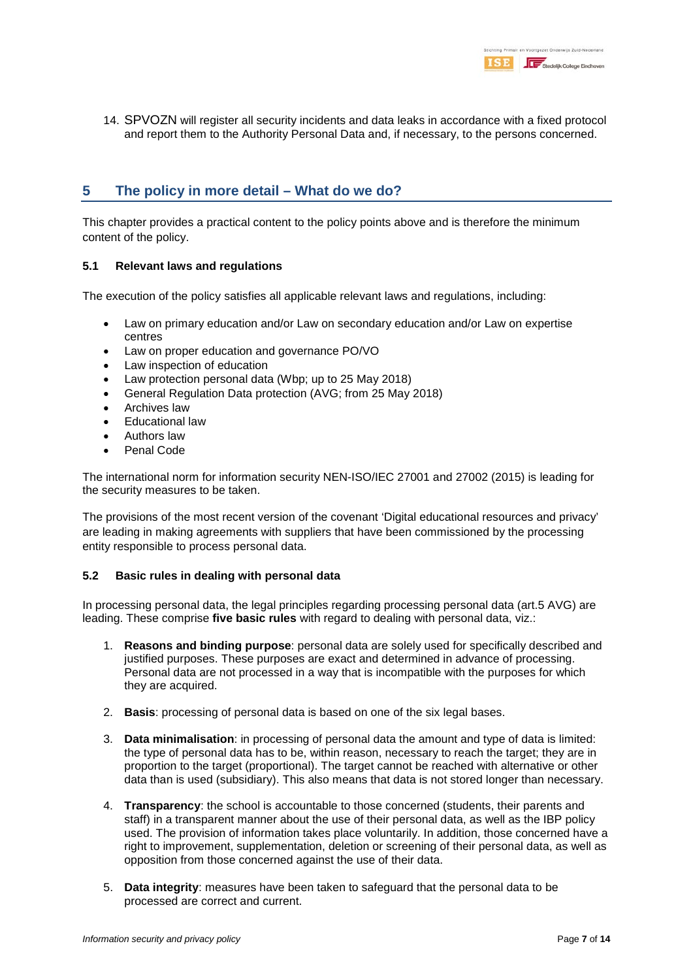14. SPVOZN will register all security incidents and data leaks in accordance with a fixed protocol and report them to the Authority Personal Data and, if necessary, to the persons concerned.

# **5 The policy in more detail – What do we do?**

This chapter provides a practical content to the policy points above and is therefore the minimum content of the policy.

#### **5.1 Relevant laws and regulations**

The execution of the policy satisfies all applicable relevant laws and regulations, including:

- Law on primary education and/or Law on secondary education and/or Law on expertise centres
- Law on proper education and governance PO/VO
- Law inspection of education
- Law protection personal data (Wbp; up to 25 May 2018)
- General Regulation Data protection (AVG; from 25 May 2018)
- Archives law
- Educational law
- Authors law
- Penal Code

The international norm for information security NEN-ISO/IEC 27001 and 27002 (2015) is leading for the security measures to be taken.

The provisions of the most recent version of the covenant 'Digital educational resources and privacy' are leading in making agreements with suppliers that have been commissioned by the processing entity responsible to process personal data.

#### **5.2 Basic rules in dealing with personal data**

In processing personal data, the legal principles regarding processing personal data (art.5 AVG) are leading. These comprise **five basic rules** with regard to dealing with personal data, viz.:

- 1. **Reasons and binding purpose**: personal data are solely used for specifically described and justified purposes. These purposes are exact and determined in advance of processing. Personal data are not processed in a way that is incompatible with the purposes for which they are acquired.
- 2. **Basis**: processing of personal data is based on one of the six legal bases.
- 3. **Data minimalisation**: in processing of personal data the amount and type of data is limited: the type of personal data has to be, within reason, necessary to reach the target; they are in proportion to the target (proportional). The target cannot be reached with alternative or other data than is used (subsidiary). This also means that data is not stored longer than necessary.
- 4. **Transparency**: the school is accountable to those concerned (students, their parents and staff) in a transparent manner about the use of their personal data, as well as the IBP policy used. The provision of information takes place voluntarily. In addition, those concerned have a right to improvement, supplementation, deletion or screening of their personal data, as well as opposition from those concerned against the use of their data.
- 5. **Data integrity**: measures have been taken to safeguard that the personal data to be processed are correct and current.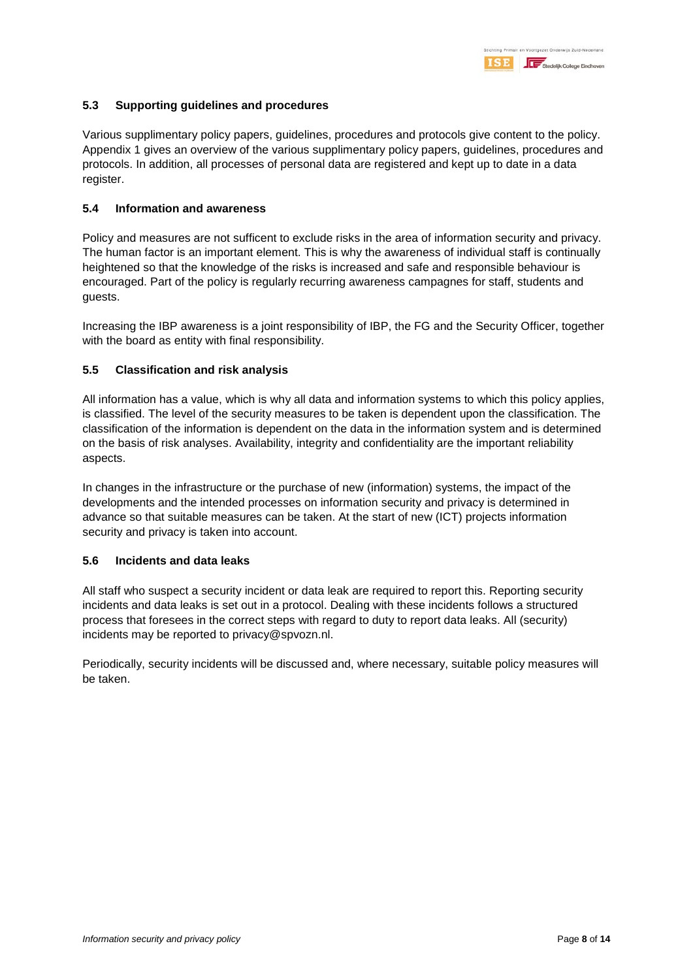### **5.3 Supporting guidelines and procedures**

Various supplimentary policy papers, guidelines, procedures and protocols give content to the policy. Appendix 1 gives an overview of the various supplimentary policy papers, guidelines, procedures and protocols. In addition, all processes of personal data are registered and kept up to date in a data register.

#### **5.4 Information and awareness**

Policy and measures are not sufficent to exclude risks in the area of information security and privacy. The human factor is an important element. This is why the awareness of individual staff is continually heightened so that the knowledge of the risks is increased and safe and responsible behaviour is encouraged. Part of the policy is regularly recurring awareness campagnes for staff, students and guests.

Increasing the IBP awareness is a joint responsibility of IBP, the FG and the Security Officer, together with the board as entity with final responsibility.

### **5.5 Classification and risk analysis**

All information has a value, which is why all data and information systems to which this policy applies, is classified. The level of the security measures to be taken is dependent upon the classification. The classification of the information is dependent on the data in the information system and is determined on the basis of risk analyses. Availability, integrity and confidentiality are the important reliability aspects.

In changes in the infrastructure or the purchase of new (information) systems, the impact of the developments and the intended processes on information security and privacy is determined in advance so that suitable measures can be taken. At the start of new (ICT) projects information security and privacy is taken into account.

### **5.6 Incidents and data leaks**

All staff who suspect a security incident or data leak are required to report this. Reporting security incidents and data leaks is set out in a protocol. Dealing with these incidents follows a structured process that foresees in the correct steps with regard to duty to report data leaks. All (security) incidents may be reported to privacy@spvozn.nl.

Periodically, security incidents will be discussed and, where necessary, suitable policy measures will be taken.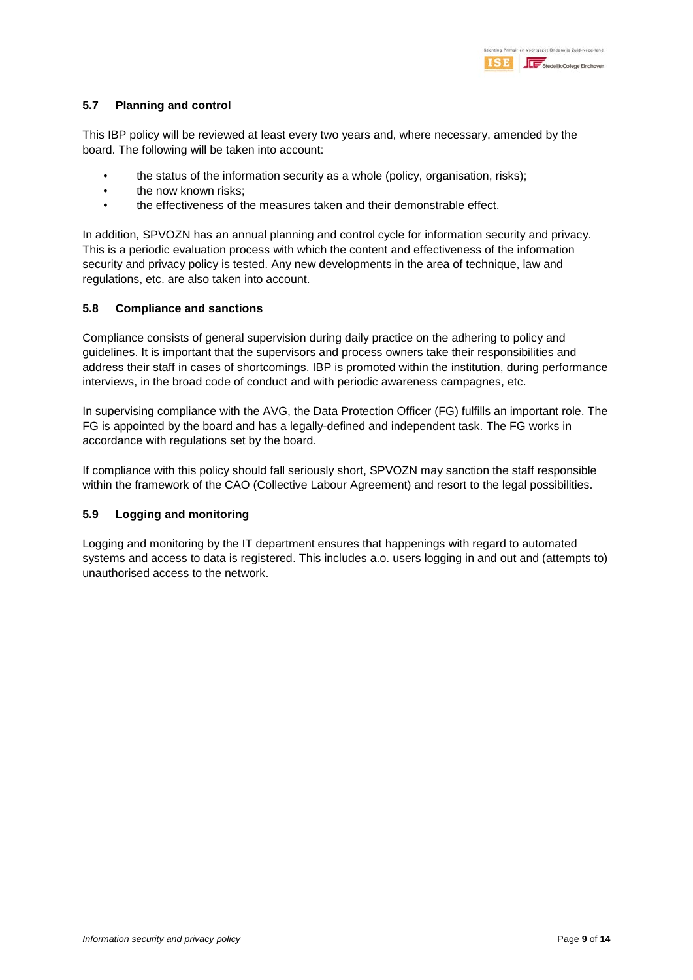### **5.7 Planning and control**

This IBP policy will be reviewed at least every two years and, where necessary, amended by the board. The following will be taken into account:

- the status of the information security as a whole (policy, organisation, risks);
- the now known risks:
- the effectiveness of the measures taken and their demonstrable effect.

In addition, SPVOZN has an annual planning and control cycle for information security and privacy. This is a periodic evaluation process with which the content and effectiveness of the information security and privacy policy is tested. Any new developments in the area of technique, law and regulations, etc. are also taken into account.

#### **5.8 Compliance and sanctions**

Compliance consists of general supervision during daily practice on the adhering to policy and guidelines. It is important that the supervisors and process owners take their responsibilities and address their staff in cases of shortcomings. IBP is promoted within the institution, during performance interviews, in the broad code of conduct and with periodic awareness campagnes, etc.

In supervising compliance with the AVG, the Data Protection Officer (FG) fulfills an important role. The FG is appointed by the board and has a legally-defined and independent task. The FG works in accordance with regulations set by the board.

If compliance with this policy should fall seriously short, SPVOZN may sanction the staff responsible within the framework of the CAO (Collective Labour Agreement) and resort to the legal possibilities.

### **5.9 Logging and monitoring**

Logging and monitoring by the IT department ensures that happenings with regard to automated systems and access to data is registered. This includes a.o. users logging in and out and (attempts to) unauthorised access to the network.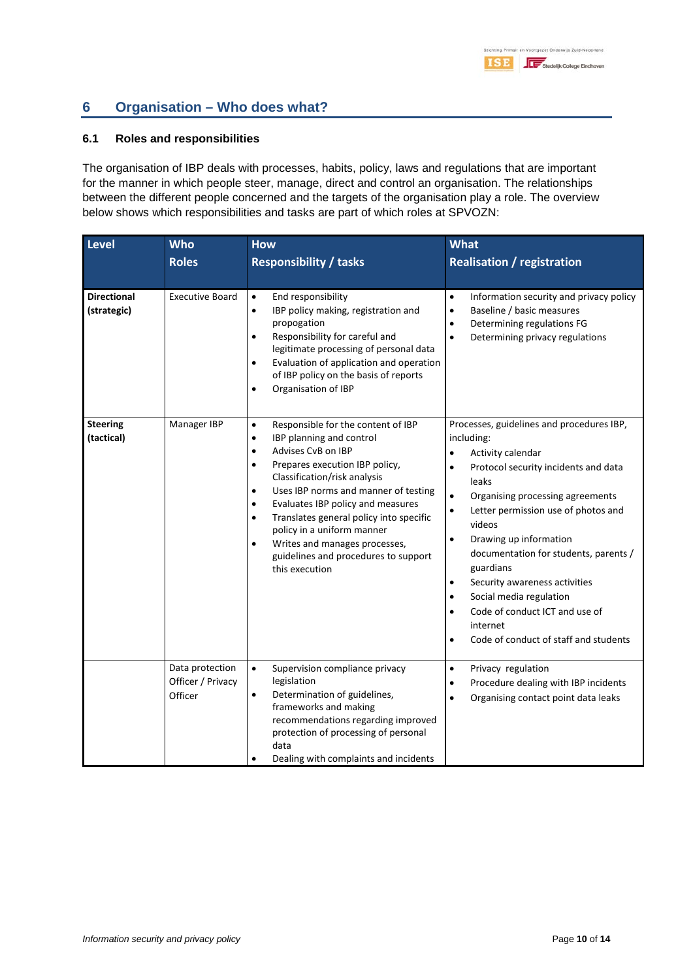# **6 Organisation – Who does what?**

#### **6.1 Roles and responsibilities**

The organisation of IBP deals with processes, habits, policy, laws and regulations that are important for the manner in which people steer, manage, direct and control an organisation. The relationships between the different people concerned and the targets of the organisation play a role. The overview below shows which responsibilities and tasks are part of which roles at SPVOZN:

| Level                             | <b>Who</b>                                      | <b>How</b>                                                                                                                                                                                                                                                                                                                                                                                                                                                                                                      | <b>What</b>                                                                                                                                                                                                                                                                                                                                                                                                                                                                                                                                                                |
|-----------------------------------|-------------------------------------------------|-----------------------------------------------------------------------------------------------------------------------------------------------------------------------------------------------------------------------------------------------------------------------------------------------------------------------------------------------------------------------------------------------------------------------------------------------------------------------------------------------------------------|----------------------------------------------------------------------------------------------------------------------------------------------------------------------------------------------------------------------------------------------------------------------------------------------------------------------------------------------------------------------------------------------------------------------------------------------------------------------------------------------------------------------------------------------------------------------------|
|                                   | <b>Roles</b>                                    | <b>Responsibility / tasks</b>                                                                                                                                                                                                                                                                                                                                                                                                                                                                                   | <b>Realisation / registration</b>                                                                                                                                                                                                                                                                                                                                                                                                                                                                                                                                          |
| <b>Directional</b><br>(strategic) | <b>Executive Board</b>                          | End responsibility<br>$\bullet$<br>IBP policy making, registration and<br>$\bullet$<br>propogation<br>Responsibility for careful and<br>$\bullet$<br>legitimate processing of personal data<br>Evaluation of application and operation<br>$\bullet$<br>of IBP policy on the basis of reports<br>Organisation of IBP<br>$\bullet$                                                                                                                                                                                | Information security and privacy policy<br>$\bullet$<br>Baseline / basic measures<br>$\bullet$<br>Determining regulations FG<br>$\bullet$<br>$\bullet$<br>Determining privacy regulations                                                                                                                                                                                                                                                                                                                                                                                  |
| <b>Steering</b><br>(tactical)     | Manager IBP                                     | Responsible for the content of IBP<br>$\bullet$<br>IBP planning and control<br>$\bullet$<br>Advises CvB on IBP<br>$\bullet$<br>Prepares execution IBP policy,<br>$\bullet$<br>Classification/risk analysis<br>Uses IBP norms and manner of testing<br>$\bullet$<br>Evaluates IBP policy and measures<br>$\bullet$<br>Translates general policy into specific<br>$\bullet$<br>policy in a uniform manner<br>Writes and manages processes,<br>$\bullet$<br>guidelines and procedures to support<br>this execution | Processes, guidelines and procedures IBP,<br>including:<br>Activity calendar<br>$\bullet$<br>Protocol security incidents and data<br>$\bullet$<br>leaks<br>$\bullet$<br>Organising processing agreements<br>Letter permission use of photos and<br>$\bullet$<br>videos<br>Drawing up information<br>$\bullet$<br>documentation for students, parents /<br>guardians<br>Security awareness activities<br>$\bullet$<br>Social media regulation<br>$\bullet$<br>Code of conduct ICT and use of<br>$\bullet$<br>internet<br>Code of conduct of staff and students<br>$\bullet$ |
|                                   | Data protection<br>Officer / Privacy<br>Officer | Supervision compliance privacy<br>$\bullet$<br>legislation<br>Determination of guidelines,<br>$\bullet$<br>frameworks and making<br>recommendations regarding improved<br>protection of processing of personal<br>data<br>Dealing with complaints and incidents                                                                                                                                                                                                                                                 | Privacy regulation<br>$\bullet$<br>Procedure dealing with IBP incidents<br>$\bullet$<br>Organising contact point data leaks<br>$\bullet$                                                                                                                                                                                                                                                                                                                                                                                                                                   |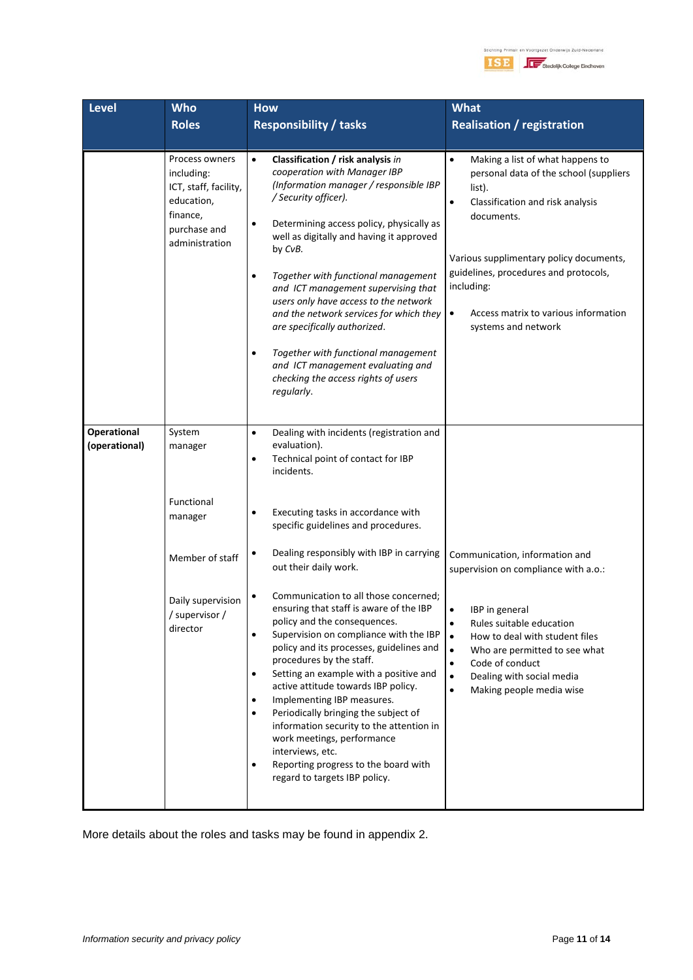

| <b>Level</b>                 | <b>Who</b>                                                                                                        | <b>How</b>                                                                                                                                                                                                                                                                                                                                                                                                                                                                                                                                                                                                                        | <b>What</b>                                                                                                                                                                                                                                                                                                                                    |
|------------------------------|-------------------------------------------------------------------------------------------------------------------|-----------------------------------------------------------------------------------------------------------------------------------------------------------------------------------------------------------------------------------------------------------------------------------------------------------------------------------------------------------------------------------------------------------------------------------------------------------------------------------------------------------------------------------------------------------------------------------------------------------------------------------|------------------------------------------------------------------------------------------------------------------------------------------------------------------------------------------------------------------------------------------------------------------------------------------------------------------------------------------------|
|                              | <b>Roles</b>                                                                                                      | <b>Responsibility / tasks</b>                                                                                                                                                                                                                                                                                                                                                                                                                                                                                                                                                                                                     | <b>Realisation / registration</b>                                                                                                                                                                                                                                                                                                              |
|                              |                                                                                                                   |                                                                                                                                                                                                                                                                                                                                                                                                                                                                                                                                                                                                                                   |                                                                                                                                                                                                                                                                                                                                                |
|                              | Process owners<br>including:<br>ICT, staff, facility,<br>education,<br>finance,<br>purchase and<br>administration | Classification / risk analysis in<br>$\bullet$<br>cooperation with Manager IBP<br>(Information manager / responsible IBP<br>/ Security officer).<br>Determining access policy, physically as<br>٠<br>well as digitally and having it approved<br>by CvB.<br>Together with functional management<br>$\bullet$<br>and ICT management supervising that<br>users only have access to the network<br>and the network services for which they<br>are specifically authorized.<br>Together with functional management<br>$\bullet$<br>and ICT management evaluating and<br>checking the access rights of users<br>regularly.             | $\bullet$<br>Making a list of what happens to<br>personal data of the school (suppliers<br>list).<br>Classification and risk analysis<br>$\bullet$<br>documents.<br>Various supplimentary policy documents,<br>guidelines, procedures and protocols,<br>including:<br>Access matrix to various information<br>$\bullet$<br>systems and network |
| Operational<br>(operational) | System<br>manager                                                                                                 | Dealing with incidents (registration and<br>$\bullet$<br>evaluation).<br>Technical point of contact for IBP<br>$\bullet$<br>incidents.                                                                                                                                                                                                                                                                                                                                                                                                                                                                                            |                                                                                                                                                                                                                                                                                                                                                |
|                              | Functional<br>manager                                                                                             | Executing tasks in accordance with<br>$\bullet$<br>specific guidelines and procedures.                                                                                                                                                                                                                                                                                                                                                                                                                                                                                                                                            |                                                                                                                                                                                                                                                                                                                                                |
|                              | Member of staff                                                                                                   | Dealing responsibly with IBP in carrying<br>٠<br>out their daily work.                                                                                                                                                                                                                                                                                                                                                                                                                                                                                                                                                            | Communication, information and<br>supervision on compliance with a.o.:                                                                                                                                                                                                                                                                         |
|                              | Daily supervision<br>/ supervisor /<br>director                                                                   | Communication to all those concerned;<br>ensuring that staff is aware of the IBP<br>policy and the consequences.<br>Supervision on compliance with the IBP<br>$\bullet$<br>policy and its processes, guidelines and<br>procedures by the staff.<br>Setting an example with a positive and<br>$\bullet$<br>active attitude towards IBP policy.<br>Implementing IBP measures.<br>$\bullet$<br>Periodically bringing the subject of<br>$\bullet$<br>information security to the attention in<br>work meetings, performance<br>interviews, etc.<br>Reporting progress to the board with<br>$\bullet$<br>regard to targets IBP policy. | $\bullet$<br>IBP in general<br>Rules suitable education<br>$\bullet$<br>$\bullet$<br>How to deal with student files<br>Who are permitted to see what<br>$\bullet$<br>Code of conduct<br>$\bullet$<br>Dealing with social media<br>$\bullet$<br>Making people media wise<br>$\bullet$                                                           |

More details about the roles and tasks may be found in appendix 2.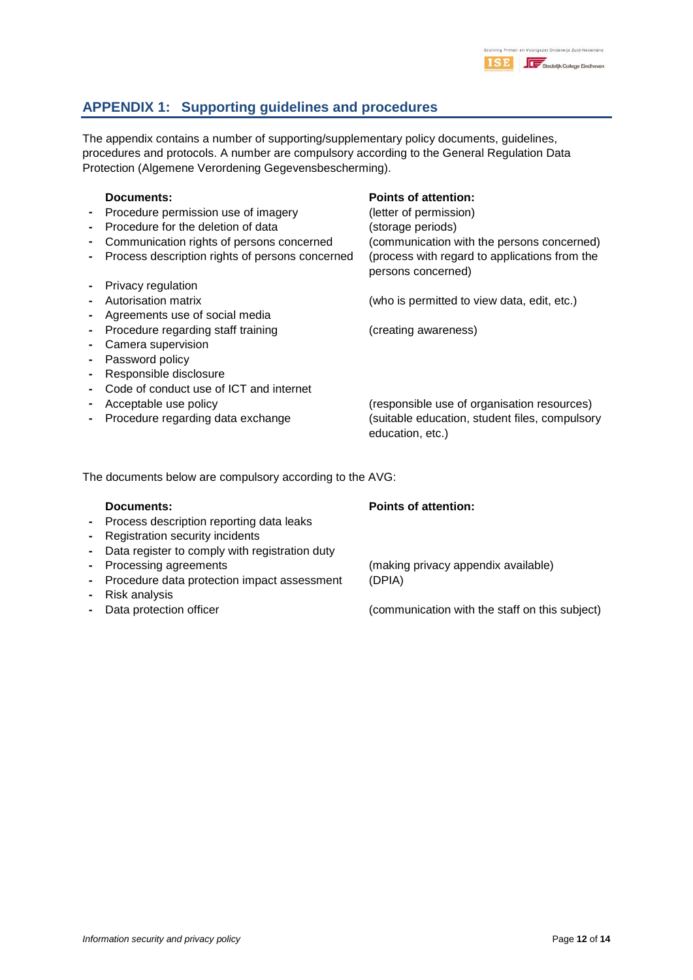

# **APPENDIX 1: Supporting guidelines and procedures**

The appendix contains a number of supporting/supplementary policy documents, guidelines, procedures and protocols. A number are compulsory according to the General Regulation Data Protection (Algemene Verordening Gegevensbescherming).

| Documents:<br>Procedure permission use of imagery<br>Procedure for the deletion of data<br>Communication rights of persons concerned<br>Process description rights of persons concerned | <b>Points of attention:</b><br>(letter of permission)<br>(storage periods)<br>(communication with the persons concerned)<br>(process with regard to applications from the<br>persons concerned) |
|-----------------------------------------------------------------------------------------------------------------------------------------------------------------------------------------|-------------------------------------------------------------------------------------------------------------------------------------------------------------------------------------------------|
| Privacy regulation                                                                                                                                                                      |                                                                                                                                                                                                 |
| Autorisation matrix                                                                                                                                                                     | (who is permitted to view data, edit, etc.)                                                                                                                                                     |
| Agreements use of social media                                                                                                                                                          |                                                                                                                                                                                                 |
| Procedure regarding staff training                                                                                                                                                      | (creating awareness)                                                                                                                                                                            |
| Camera supervision                                                                                                                                                                      |                                                                                                                                                                                                 |
| Password policy                                                                                                                                                                         |                                                                                                                                                                                                 |
| Responsible disclosure                                                                                                                                                                  |                                                                                                                                                                                                 |
| Code of conduct use of ICT and internet                                                                                                                                                 |                                                                                                                                                                                                 |
| Acceptable use policy                                                                                                                                                                   | (responsible use of organisation resources)                                                                                                                                                     |
| Procedure regarding data exchange                                                                                                                                                       | (suitable education, student files, compulsory<br>education, etc.)                                                                                                                              |

The documents below are compulsory according to the AVG:

- **-** Process description reporting data leaks
- **-** Registration security incidents
- **-** Data register to comply with registration duty
- 
- **-** Procedure data protection impact assessment (DPIA)
- **-** Risk analysis
- 

### **Documents: Points of attention:**

**-** Processing agreements (making privacy appendix available)

**-** Data protection officer (communication with the staff on this subject)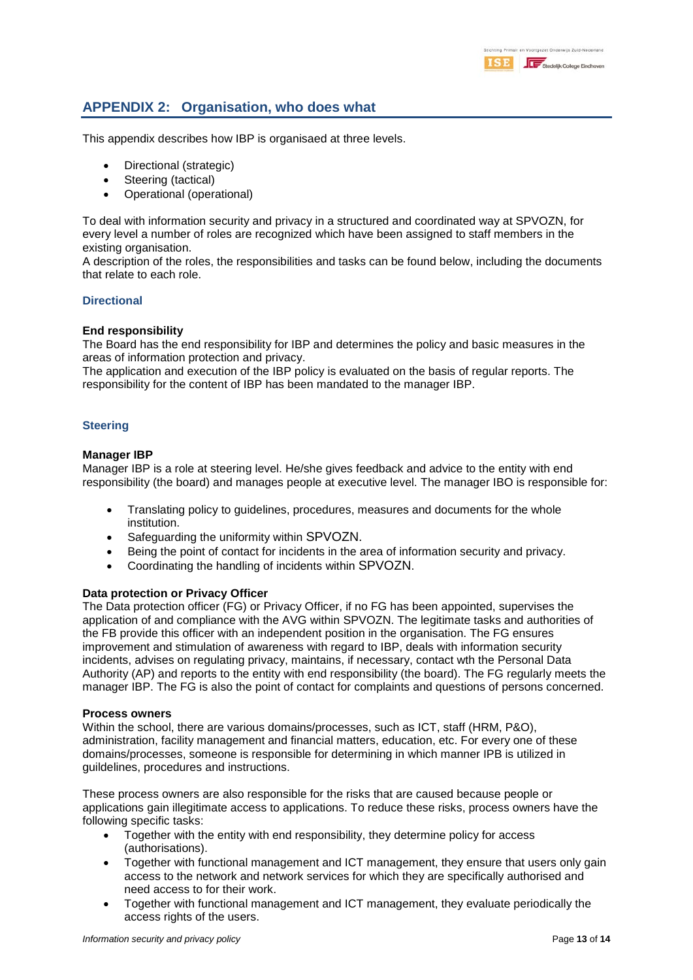# **APPENDIX 2: Organisation, who does what**

This appendix describes how IBP is organisaed at three levels.

- Directional (strategic)
- Steering (tactical)
- Operational (operational)

To deal with information security and privacy in a structured and coordinated way at SPVOZN, for every level a number of roles are recognized which have been assigned to staff members in the existing organisation.

A description of the roles, the responsibilities and tasks can be found below, including the documents that relate to each role.

#### **Directional**

#### **End responsibility**

The Board has the end responsibility for IBP and determines the policy and basic measures in the areas of information protection and privacy.

The application and execution of the IBP policy is evaluated on the basis of regular reports. The responsibility for the content of IBP has been mandated to the manager IBP.

#### **Steering**

#### **Manager IBP**

Manager IBP is a role at steering level. He/she gives feedback and advice to the entity with end responsibility (the board) and manages people at executive level. The manager IBO is responsible for:

- Translating policy to guidelines, procedures, measures and documents for the whole institution.
- Safeguarding the uniformity within SPVOZN.
- Being the point of contact for incidents in the area of information security and privacy.
- Coordinating the handling of incidents within SPVOZN.

#### **Data protection or Privacy Officer**

The Data protection officer (FG) or Privacy Officer, if no FG has been appointed, supervises the application of and compliance with the AVG within SPVOZN. The legitimate tasks and authorities of the FB provide this officer with an independent position in the organisation. The FG ensures improvement and stimulation of awareness with regard to IBP, deals with information security incidents, advises on regulating privacy, maintains, if necessary, contact wth the Personal Data Authority (AP) and reports to the entity with end responsibility (the board). The FG regularly meets the manager IBP. The FG is also the point of contact for complaints and questions of persons concerned.

#### **Process owners**

Within the school, there are various domains/processes, such as ICT, staff (HRM, P&O), administration, facility management and financial matters, education, etc. For every one of these domains/processes, someone is responsible for determining in which manner IPB is utilized in guildelines, procedures and instructions.

These process owners are also responsible for the risks that are caused because people or applications gain illegitimate access to applications. To reduce these risks, process owners have the following specific tasks:

- Together with the entity with end responsibility, they determine policy for access (authorisations).
- Together with functional management and ICT management, they ensure that users only gain access to the network and network services for which they are specifically authorised and need access to for their work.
- Together with functional management and ICT management, they evaluate periodically the access rights of the users.